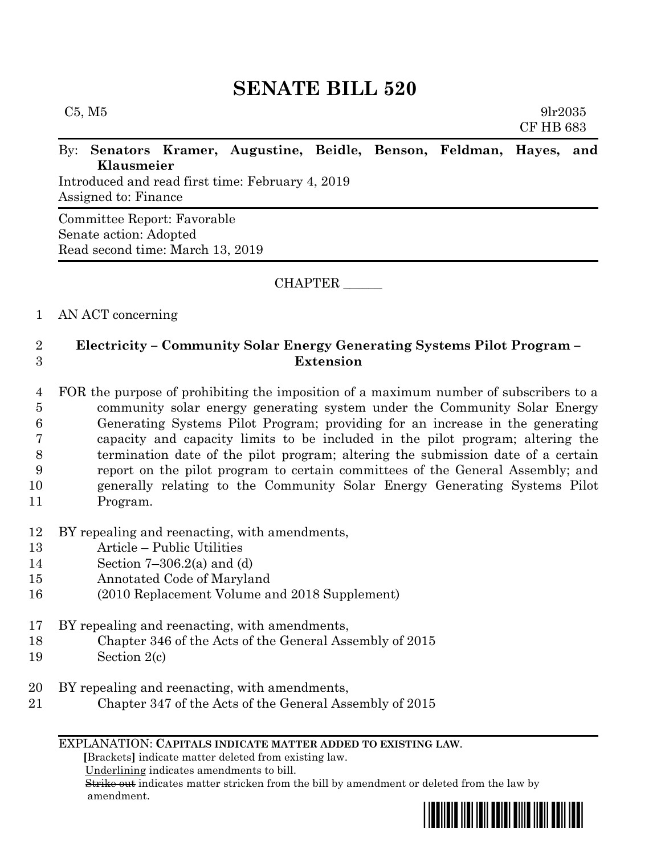# **SENATE BILL 520**

## By: **Senators Kramer, Augustine, Beidle, Benson, Feldman, Hayes, and Klausmeier**

Introduced and read first time: February 4, 2019 Assigned to: Finance

Committee Report: Favorable Senate action: Adopted Read second time: March 13, 2019

CHAPTER \_\_\_\_\_\_

## 1 AN ACT concerning

# 2 **Electricity – Community Solar Energy Generating Systems Pilot Program –** 3 **Extension**

- 4 FOR the purpose of prohibiting the imposition of a maximum number of subscribers to a 5 community solar energy generating system under the Community Solar Energy 6 Generating Systems Pilot Program; providing for an increase in the generating 7 capacity and capacity limits to be included in the pilot program; altering the 8 termination date of the pilot program; altering the submission date of a certain 9 report on the pilot program to certain committees of the General Assembly; and 10 generally relating to the Community Solar Energy Generating Systems Pilot 11 Program.
- 12 BY repealing and reenacting, with amendments,
- 13 Article Public Utilities
- 14 Section 7–306.2(a) and (d)
- 15 Annotated Code of Maryland
- 16 (2010 Replacement Volume and 2018 Supplement)
- 17 BY repealing and reenacting, with amendments,
- 18 Chapter 346 of the Acts of the General Assembly of 2015
- 19 Section 2(c)
- 20 BY repealing and reenacting, with amendments,
- 21 Chapter 347 of the Acts of the General Assembly of 2015

#### EXPLANATION: **CAPITALS INDICATE MATTER ADDED TO EXISTING LAW**.

 **[**Brackets**]** indicate matter deleted from existing law.

Underlining indicates amendments to bill.

 Strike out indicates matter stricken from the bill by amendment or deleted from the law by amendment.



CF HB 683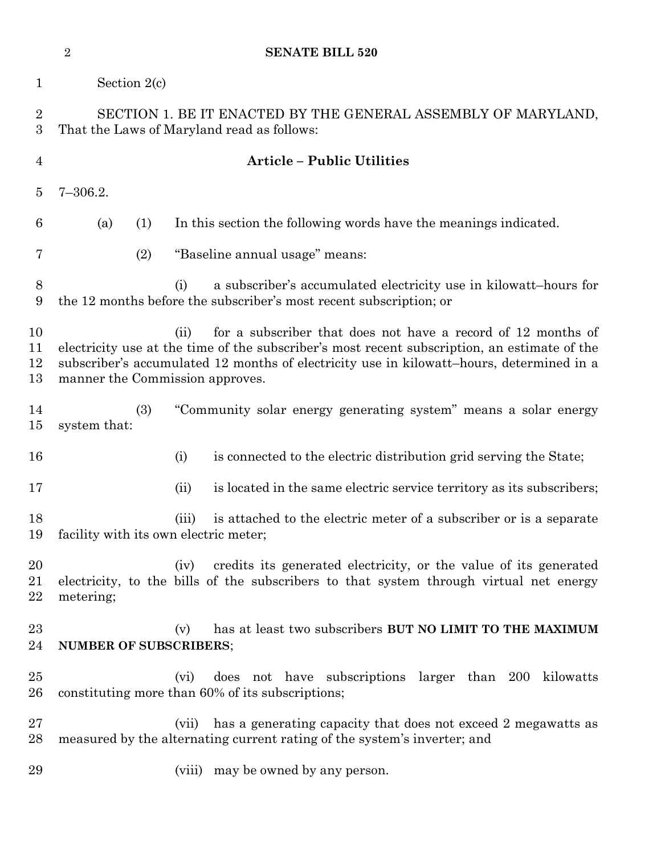|                      | $\overline{2}$                                                                                              | <b>SENATE BILL 520</b>                                                                                                                                                                                                                                           |  |  |  |
|----------------------|-------------------------------------------------------------------------------------------------------------|------------------------------------------------------------------------------------------------------------------------------------------------------------------------------------------------------------------------------------------------------------------|--|--|--|
| $\mathbf{1}$         | Section $2(c)$                                                                                              |                                                                                                                                                                                                                                                                  |  |  |  |
| $\overline{2}$<br>3  | SECTION 1. BE IT ENACTED BY THE GENERAL ASSEMBLY OF MARYLAND,<br>That the Laws of Maryland read as follows: |                                                                                                                                                                                                                                                                  |  |  |  |
| $\overline{4}$       |                                                                                                             | <b>Article - Public Utilities</b>                                                                                                                                                                                                                                |  |  |  |
| $\overline{5}$       | $7 - 306.2.$                                                                                                |                                                                                                                                                                                                                                                                  |  |  |  |
| 6                    | (a)<br>(1)                                                                                                  | In this section the following words have the meanings indicated.                                                                                                                                                                                                 |  |  |  |
| 7                    | (2)                                                                                                         | "Baseline annual usage" means:                                                                                                                                                                                                                                   |  |  |  |
| 8<br>9               |                                                                                                             | a subscriber's accumulated electricity use in kilowatt-hours for<br>(i)<br>the 12 months before the subscriber's most recent subscription; or                                                                                                                    |  |  |  |
| 10<br>11<br>12<br>13 | manner the Commission approves.                                                                             | for a subscriber that does not have a record of 12 months of<br>(ii)<br>electricity use at the time of the subscriber's most recent subscription, an estimate of the<br>subscriber's accumulated 12 months of electricity use in kilowatt-hours, determined in a |  |  |  |
| 14<br>15             | (3)<br>system that:                                                                                         | "Community solar energy generating system" means a solar energy                                                                                                                                                                                                  |  |  |  |
| 16                   |                                                                                                             | (i)<br>is connected to the electric distribution grid serving the State;                                                                                                                                                                                         |  |  |  |
| 17                   |                                                                                                             | is located in the same electric service territory as its subscribers;<br>(ii)                                                                                                                                                                                    |  |  |  |
| 18<br>19             | facility with its own electric meter;                                                                       | is attached to the electric meter of a subscriber or is a separate<br>(iii)                                                                                                                                                                                      |  |  |  |
| 20<br>21<br>22       | metering;                                                                                                   | credits its generated electricity, or the value of its generated<br>(iv)<br>electricity, to the bills of the subscribers to that system through virtual net energy                                                                                               |  |  |  |
| 23<br>24             | <b>NUMBER OF SUBSCRIBERS;</b>                                                                               | has at least two subscribers BUT NO LIMIT TO THE MAXIMUM<br>(v)                                                                                                                                                                                                  |  |  |  |
| 25<br>$26\,$         |                                                                                                             | does not have subscriptions larger than 200 kilowatts<br>(vi)<br>constituting more than 60% of its subscriptions;                                                                                                                                                |  |  |  |
| $27\,$<br>28         |                                                                                                             | has a generating capacity that does not exceed 2 megawatts as<br>(vii)<br>measured by the alternating current rating of the system's inverter; and                                                                                                               |  |  |  |
| 29                   |                                                                                                             | (viii) may be owned by any person.                                                                                                                                                                                                                               |  |  |  |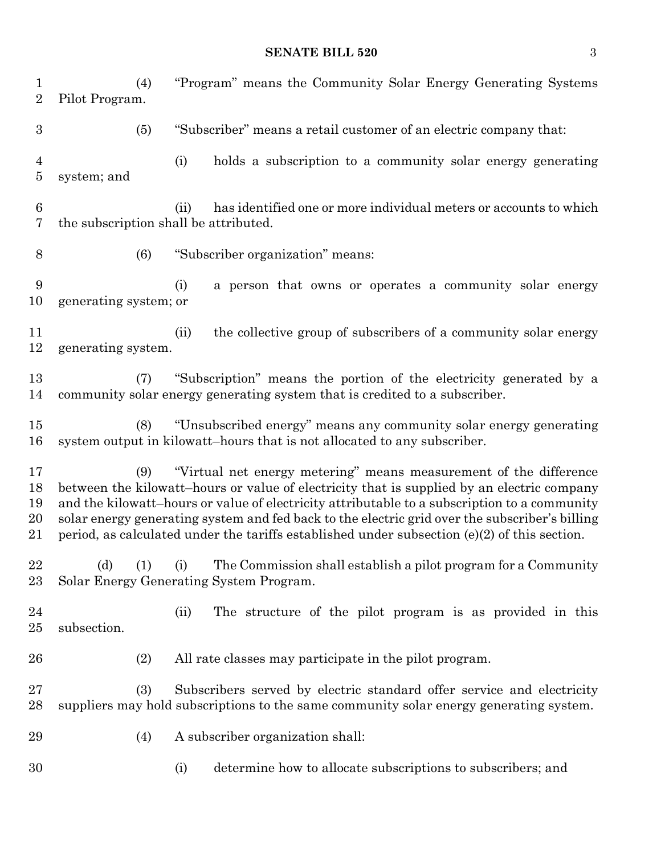## **SENATE BILL 520** 3

| $\mathbf 1$<br>$\overline{2}$    | (4)<br>Pilot Program.                                                                                                                                                                                                                                                                                                                                                                                                                                                      |      | "Program" means the Community Solar Energy Generating Systems                                                                                                   |  |  |
|----------------------------------|----------------------------------------------------------------------------------------------------------------------------------------------------------------------------------------------------------------------------------------------------------------------------------------------------------------------------------------------------------------------------------------------------------------------------------------------------------------------------|------|-----------------------------------------------------------------------------------------------------------------------------------------------------------------|--|--|
| $\boldsymbol{3}$                 | (5)                                                                                                                                                                                                                                                                                                                                                                                                                                                                        |      | "Subscriber" means a retail customer of an electric company that:                                                                                               |  |  |
| $\overline{4}$<br>$\overline{5}$ | system; and                                                                                                                                                                                                                                                                                                                                                                                                                                                                | (i)  | holds a subscription to a community solar energy generating                                                                                                     |  |  |
| 6<br>7                           | the subscription shall be attributed.                                                                                                                                                                                                                                                                                                                                                                                                                                      | (ii) | has identified one or more individual meters or accounts to which                                                                                               |  |  |
| 8                                | (6)                                                                                                                                                                                                                                                                                                                                                                                                                                                                        |      | "Subscriber organization" means:                                                                                                                                |  |  |
| 9<br>10                          | generating system; or                                                                                                                                                                                                                                                                                                                                                                                                                                                      | (i)  | a person that owns or operates a community solar energy                                                                                                         |  |  |
| 11<br>12                         | generating system.                                                                                                                                                                                                                                                                                                                                                                                                                                                         | (ii) | the collective group of subscribers of a community solar energy                                                                                                 |  |  |
| 13<br>14                         | "Subscription" means the portion of the electricity generated by a<br>(7)<br>community solar energy generating system that is credited to a subscriber.                                                                                                                                                                                                                                                                                                                    |      |                                                                                                                                                                 |  |  |
| 15<br>16                         | (8)                                                                                                                                                                                                                                                                                                                                                                                                                                                                        |      | "Unsubscribed energy" means any community solar energy generating<br>system output in kilowatt-hours that is not allocated to any subscriber.                   |  |  |
| 17<br>18<br>19<br>20<br>21       | "Virtual net energy metering" means measurement of the difference<br>(9)<br>between the kilowatt-hours or value of electricity that is supplied by an electric company<br>and the kilowatt-hours or value of electricity attributable to a subscription to a community<br>solar energy generating system and fed back to the electric grid over the subscriber's billing<br>period, as calculated under the tariffs established under subsection $(e)(2)$ of this section. |      |                                                                                                                                                                 |  |  |
| 22<br>$23\,$                     | (d)<br>(1)<br>Solar Energy Generating System Program.                                                                                                                                                                                                                                                                                                                                                                                                                      | (i)  | The Commission shall establish a pilot program for a Community                                                                                                  |  |  |
| 24<br>$25\,$                     | subsection.                                                                                                                                                                                                                                                                                                                                                                                                                                                                | (ii) | The structure of the pilot program is as provided in this                                                                                                       |  |  |
| 26                               | (2)                                                                                                                                                                                                                                                                                                                                                                                                                                                                        |      | All rate classes may participate in the pilot program.                                                                                                          |  |  |
| $27\,$<br>28                     | (3)                                                                                                                                                                                                                                                                                                                                                                                                                                                                        |      | Subscribers served by electric standard offer service and electricity<br>suppliers may hold subscriptions to the same community solar energy generating system. |  |  |
| 29                               | (4)                                                                                                                                                                                                                                                                                                                                                                                                                                                                        |      | A subscriber organization shall:                                                                                                                                |  |  |
| 30                               |                                                                                                                                                                                                                                                                                                                                                                                                                                                                            | (i)  | determine how to allocate subscriptions to subscribers; and                                                                                                     |  |  |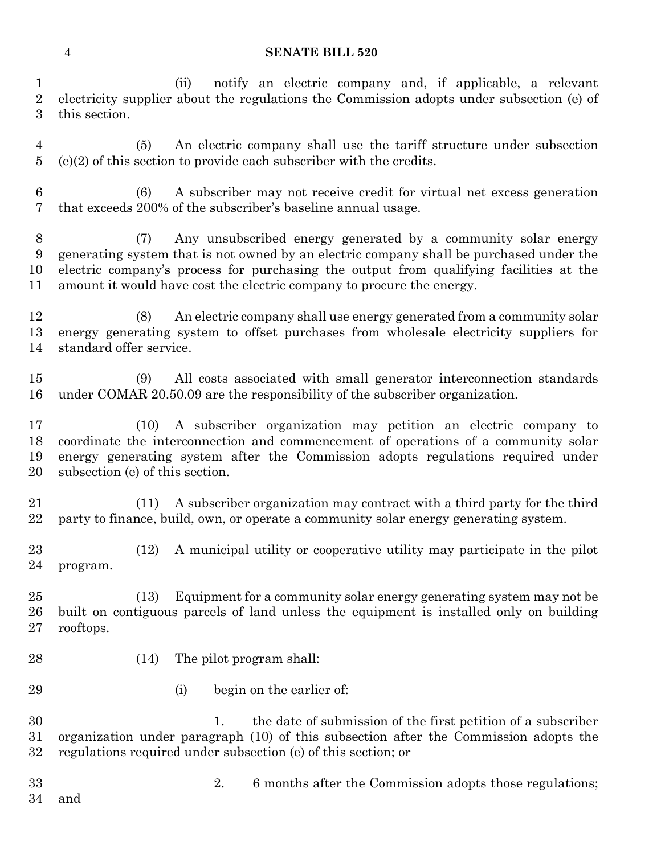#### **SENATE BILL 520**

 (ii) notify an electric company and, if applicable, a relevant electricity supplier about the regulations the Commission adopts under subsection (e) of this section.

 (5) An electric company shall use the tariff structure under subsection (e)(2) of this section to provide each subscriber with the credits.

 (6) A subscriber may not receive credit for virtual net excess generation that exceeds 200% of the subscriber's baseline annual usage.

 (7) Any unsubscribed energy generated by a community solar energy generating system that is not owned by an electric company shall be purchased under the electric company's process for purchasing the output from qualifying facilities at the amount it would have cost the electric company to procure the energy.

 (8) An electric company shall use energy generated from a community solar energy generating system to offset purchases from wholesale electricity suppliers for standard offer service.

 (9) All costs associated with small generator interconnection standards under COMAR 20.50.09 are the responsibility of the subscriber organization.

 (10) A subscriber organization may petition an electric company to coordinate the interconnection and commencement of operations of a community solar energy generating system after the Commission adopts regulations required under subsection (e) of this section.

 (11) A subscriber organization may contract with a third party for the third party to finance, build, own, or operate a community solar energy generating system.

 (12) A municipal utility or cooperative utility may participate in the pilot program.

 (13) Equipment for a community solar energy generating system may not be built on contiguous parcels of land unless the equipment is installed only on building rooftops.

- 
- (14) The pilot program shall:
- 
- 29 (i) begin on the earlier of:

 1. the date of submission of the first petition of a subscriber organization under paragraph (10) of this subsection after the Commission adopts the regulations required under subsection (e) of this section; or

- and
- 2. 6 months after the Commission adopts those regulations;